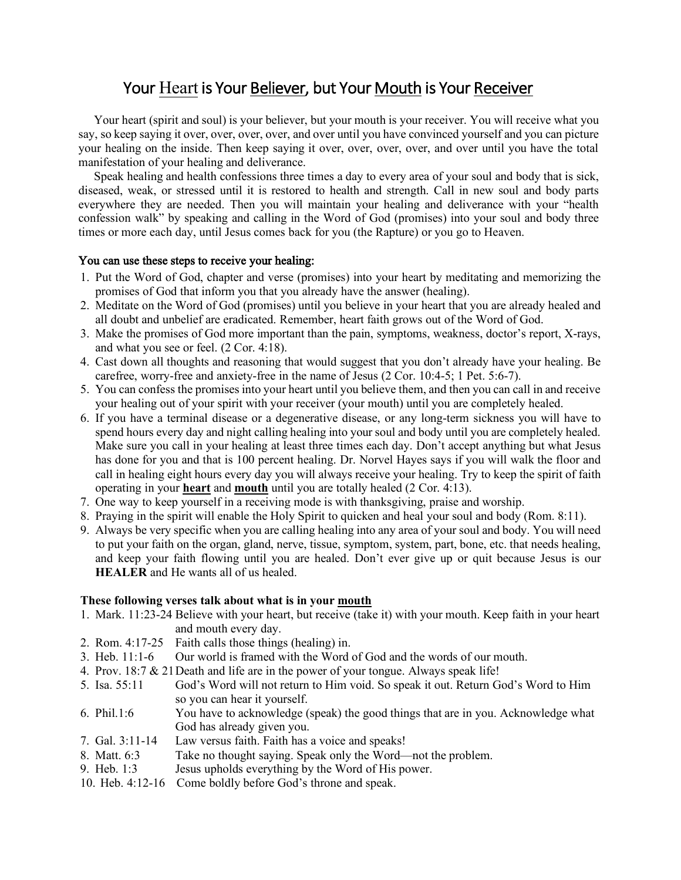## Your Heart is Your Believer, but Your Mouth is Your Receiver

 Your heart (spirit and soul) is your believer, but your mouth is your receiver. You will receive what you say, so keep saying it over, over, over, over, and over until you have convinced yourself and you can picture your healing on the inside. Then keep saying it over, over, over, over, and over until you have the total manifestation of your healing and deliverance.

Speak healing and health confessions three times a day to every area of your soul and body that is sick, diseased, weak, or stressed until it is restored to health and strength. Call in new soul and body parts everywhere they are needed. Then you will maintain your healing and deliverance with your "health confession walk" by speaking and calling in the Word of God (promises) into your soul and body three times or more each day, until Jesus comes back for you (the Rapture) or you go to Heaven.

## You can use these steps to receive your healing:

- 1. Put the Word of God, chapter and verse (promises) into your heart by meditating and memorizing the promises of God that inform you that you already have the answer (healing).
- 2. Meditate on the Word of God (promises) until you believe in your heart that you are already healed and all doubt and unbelief are eradicated. Remember, heart faith grows out of the Word of God.
- 3. Make the promises of God more important than the pain, symptoms, weakness, doctor's report, X-rays, and what you see or feel. (2 Cor. 4:18).
- 4. Cast down all thoughts and reasoning that would suggest that you don't already have your healing. Be carefree, worry-free and anxiety-free in the name of Jesus (2 Cor. 10:4-5; 1 Pet. 5:6-7).
- 5. You can confess the promises into your heart until you believe them, and then you can call in and receive your healing out of your spirit with your receiver (your mouth) until you are completely healed.
- 6. If you have a terminal disease or a degenerative disease, or any long-term sickness you will have to spend hours every day and night calling healing into your soul and body until you are completely healed. Make sure you call in your healing at least three times each day. Don't accept anything but what Jesus has done for you and that is 100 percent healing. Dr. Norvel Hayes says if you will walk the floor and call in healing eight hours every day you will always receive your healing. Try to keep the spirit of faith operating in your **heart** and **mouth** until you are totally healed (2 Cor. 4:13).
- 7. One way to keep yourself in a receiving mode is with thanksgiving, praise and worship.
- 8. Praying in the spirit will enable the Holy Spirit to quicken and heal your soul and body (Rom. 8:11).
- 9. Always be very specific when you are calling healing into any area of your soul and body. You will need to put your faith on the organ, gland, nerve, tissue, symptom, system, part, bone, etc. that needs healing, and keep your faith flowing until you are healed. Don't ever give up or quit because Jesus is our **HEALER** and He wants all of us healed.

## **These following verses talk about what is in your mouth**

- 1. Mark. 11:23-24 Believe with your heart, but receive (take it) with your mouth. Keep faith in your heart and mouth every day.
- 2. Rom. 4:17-25 Faith calls those things (healing) in.
- 3. Heb. 11:1-6 Our world is framed with the Word of God and the words of our mouth.
- 4. Prov. 18:7 & 21Death and life are in the power of your tongue. Always speak life!
- 5. Isa. 55:11 God's Word will not return to Him void. So speak it out. Return God's Word to Him so you can hear it yourself.
- 6. Phil.1:6 You have to acknowledge (speak) the good things that are in you. Acknowledge what God has already given you.
- 7. Gal. 3:11-14 Law versus faith. Faith has a voice and speaks!
- 8. Matt. 6:3 Take no thought saying. Speak only the Word—not the problem.
- 9. Heb. 1:3 Jesus upholds everything by the Word of His power.
- 10. Heb. 4:12-16 Come boldly before God's throne and speak.